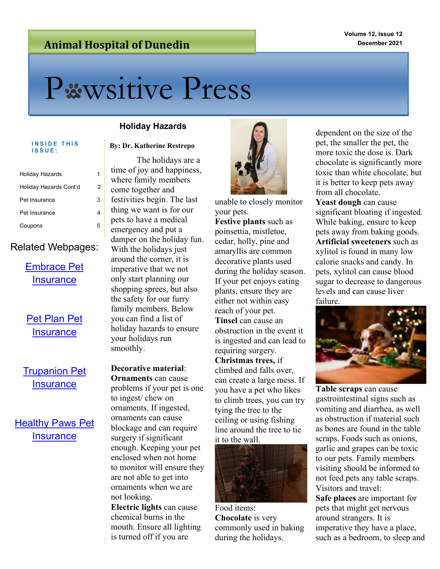# **Animal Hospital of Dunedin**

# Pxwsitive Press

# **ISSUE:**

| Holiday Hazards        |   |
|------------------------|---|
| Holiday Hazards Cont'd | 2 |
| Pet Insurance          | 3 |
| Pet Insurance          |   |
| Coupons                |   |

## Related Webpages:

# [Embrace Pet](https://enroll.embracepetinsurance.com/pet-insurance/?utm_source=google&utm_medium=cpc&utm_campaign=CP_Brand_Exact_Max-Conv-TCPA&utm_term=embrace%20pet%20insurance&utm_content=534859056645&gclid=CjwKCAiAv_KMBhAzEiwAs-rX1Nzf_1zlCGqUjv68A1PhW39KuYSVJmofitDUrjlwQXwJoro-OLbtORoCQYYQAvD_BwE)  **[Insurance](https://enroll.embracepetinsurance.com/pet-insurance/?utm_source=google&utm_medium=cpc&utm_campaign=CP_Brand_Exact_Max-Conv-TCPA&utm_term=embrace%20pet%20insurance&utm_content=534859056645&gclid=CjwKCAiAv_KMBhAzEiwAs-rX1Nzf_1zlCGqUjv68A1PhW39KuYSVJmofitDUrjlwQXwJoro-OLbtORoCQYYQAvD_BwE)**

# Pet Plan Pet **[Insurance](https://www.gopetplan.com/?utm_campaign=G-%5bB%5d-RLSA-Pet-Plan-Core-US-Exact&utm_source=google&utm_medium=cpc&gclid=CjwKCAiAv_KMBhAzEiwAs-rX1AQD9ilPanUHV7ci_W3j_59v7MMnzhK_CNyZp-wmGYUKfzR69QnEvBoCq5QQAvD_BwE)**

[Trupanion Pet](https://trupanion.com/ec/ppc/best-care-b?utm_source=google&utm_medium=search&utm_campaign=brand&gclid=CjwKCAiAv_KMBhAzEiwAs-rX1AU6_Rtz1G7o-gaCAk_Pr-Fi3IFF6RYB8rOkkP75qn-RagzMXiCjChoCfW0QAvD_BwE)  **[Insurance](https://trupanion.com/ec/ppc/best-care-b?utm_source=google&utm_medium=search&utm_campaign=brand&gclid=CjwKCAiAv_KMBhAzEiwAs-rX1AU6_Rtz1G7o-gaCAk_Pr-Fi3IFF6RYB8rOkkP75qn-RagzMXiCjChoCfW0QAvD_BwE)** 

# [Healthy Paws Pet](https://www.healthypawspetinsurance.com/?kk=healthy%20paws%20pet%20insurance&utm_source=Google%20CPC&utm_medium=CPC&match=e&device=&utm_campaign=Branded&utm_term=healthy%20paws%20pet%20insurance&utm_content=eta&adpos=&gclid=CjwKCAiAv_KMBhAzEiwAs-rX1Ku6TFiocc4_b2DXYyxbfdCPDUJYH19hoPSSTYS7YhfqKmxMwFL2LBoC7scQAvD_BwE)  **[Insurance](https://www.healthypawspetinsurance.com/?kk=healthy%20paws%20pet%20insurance&utm_source=Google%20CPC&utm_medium=CPC&match=e&device=&utm_campaign=Branded&utm_term=healthy%20paws%20pet%20insurance&utm_content=eta&adpos=&gclid=CjwKCAiAv_KMBhAzEiwAs-rX1Ku6TFiocc4_b2DXYyxbfdCPDUJYH19hoPSSTYS7YhfqKmxMwFL2LBoC7scQAvD_BwE)**

### **Holiday Hazards**

#### **By: Dr. Katherine Restrepo**

The holidays are a time of joy and happiness, where family members come together and festivities begin. The last thing we want is for our pets to have a medical emergency and put a damper on the holiday fun. With the holidays just around the corner, it is imperative that we not only start planning our shopping sprees, but also the safety for our furry family members. Below you can find a list of holiday hazards to ensure your holidays run smoothly.

**Decorative material**: **Ornaments** can cause problems if your pet is one to ingest/ chew on ornaments. If ingested, ornaments can cause blockage and can require surgery if significant enough. Keeping your pet enclosed when not home to monitor will ensure they are not able to get into ornaments when we are not looking.

**Electric lights** can cause chemical burns in the mouth. Ensure all lighting is turned off if you are



unable to closely monitor your pets.

**Festive plants** such as poinsettia, mistletoe, cedar, holly, pine and amaryllis are common decorative plants used during the holiday season. If your pet enjoys eating plants, ensure they are either not within easy reach of your pet. **Tinsel** can cause an obstruction in the event it is ingested and can lead to requiring surgery. **Christmas trees,** if climbed and falls over, can create a large mess. If you have a pet who likes to climb trees, you can try tying the tree to the ceiling or using fishing line around the tree to tie it to the wall.



Food items: **Chocolate** is very commonly used in baking during the holidays.

dependent on the size of the pet, the smaller the pet, the more toxic the dose is. Dark chocolate is significantly more toxic than white chocolate, but it is better to keep pets away from all chocolate.

Yeast dough can cause significant bloating if ingested. While baking, ensure to keep pets away from baking goods. **Artificial sweeteners** such as xylitol is found in many low calorie snacks and candy. In pets, xylitol can cause blood sugar to decrease to dangerous levels and can cause liver failure.



**Table scraps** can cause gastrointestinal signs such as vomiting and diarrhea, as well as obstruction if material such as bones are found in the table scraps. Foods such as onions, garlic and grapes can be toxic to our pets. Family members visiting should be informed to not feed pets any table scraps. Visitors and travel: **Safe places** are important for

pets that might get nervous around strangers. It is imperative they have a place, such as a bedroom, to sleep and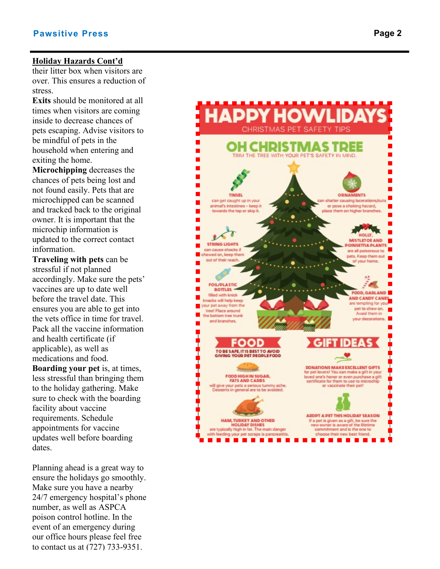#### **Holiday Hazards Cont'd**

their litter box when visitors are over. This ensures a reduction of stress.

**Exits** should be monitored at all times when visitors are coming inside to decrease chances of pets escaping. Advise visitors to be mindful of pets in the household when entering and exiting the home.

**Microchipping** decreases the chances of pets being lost and not found easily. Pets that are microchipped can be scanned and tracked back to the original owner. It is important that the microchip information is updated to the correct contact information.

**Traveling with pets** can be stressful if not planned accordingly. Make sure the pets' vaccines are up to date well before the travel date. This ensures you are able to get into the vets office in time for travel. Pack all the vaccine information and health certificate (if applicable), as well as medications and food. **Boarding your pet** is, at times, less stressful than bringing them to the holiday gathering. Make sure to check with the boarding facility about vaccine requirements. Schedule appointments for vaccine updates well before boarding dates.

Planning ahead is a great way to ensure the holidays go smoothly. Make sure you have a nearby 24/7 emergency hospital's phone number, as well as ASPCA poison control hotline. In the event of an emergency during our office hours please feel free to contact us at (727) 733 -9351.

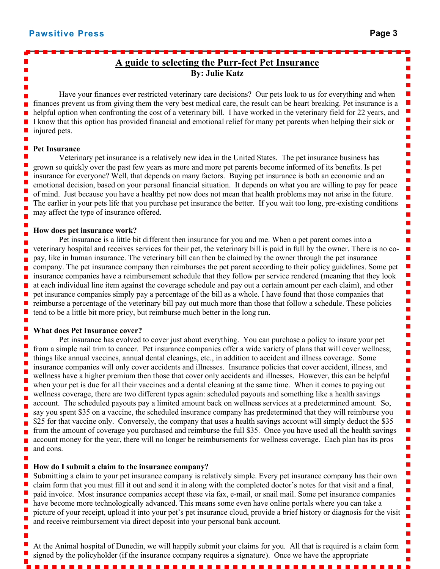$\blacksquare$  $\blacksquare$ 

п ۲  $\overline{\phantom{a}}$  $\blacksquare$  $\blacksquare$ ۲ i. í i. ۲

Е í

۲ П e.  $\blacksquare$ П  $\blacksquare$ П e. П ۲  $\blacksquare$ i. E ۲

Ė i. П П Ē í í i.  $\blacksquare$  $\blacksquare$  $\overline{\phantom{a}}$ Ē.  $\blacksquare$ П

П ۲ ۰ í i. ī

# **A guide to selecting the Purr-fect Pet Insurance By: Julie Katz**

Have your finances ever restricted veterinary care decisions? Our pets look to us for everything and when finances prevent us from giving them the very best medical care, the result can be heart breaking. Pet insurance is a helpful option when confronting the cost of a veterinary bill. I have worked in the veterinary field for 22 years, and I know that this option has provided financial and emotional relief for many pet parents when helping their sick or injured pets.

#### **Pet Insurance**

Veterinary pet insurance is a relatively new idea in the United States. The pet insurance business has grown so quickly over the past few years as more and more pet parents become informed of its benefits. Is pet insurance for everyone? Well, that depends on many factors. Buying pet insurance is both an economic and an emotional decision, based on your personal financial situation. It depends on what you are willing to pay for peace of mind. Just because you have a healthy pet now does not mean that health problems may not arise in the future. The earlier in your pets life that you purchase pet insurance the better. If you wait too long, pre-existing conditions may affect the type of insurance offered.

#### **How does pet insurance work?**

Pet insurance is a little bit different then insurance for you and me. When a pet parent comes into a veterinary hospital and receives services for their pet, the veterinary bill is paid in full by the owner. There is no copay, like in human insurance. The veterinary bill can then be claimed by the owner through the pet insurance company. The pet insurance company then reimburses the pet parent according to their policy guidelines. Some pet insurance companies have a reimbursement schedule that they follow per service rendered (meaning that they look at each individual line item against the coverage schedule and pay out a certain amount per each claim), and other pet insurance companies simply pay a percentage of the bill as a whole. I have found that those companies that reimburse a percentage of the veterinary bill pay out much more than those that follow a schedule. These policies tend to be a little bit more pricy, but reimburse much better in the long run.

#### **What does Pet Insurance cover?**

Pet insurance has evolved to cover just about everything. You can purchase a policy to insure your pet from a simple nail trim to cancer. Pet insurance companies offer a wide variety of plans that will cover wellness; things like annual vaccines, annual dental cleanings, etc., in addition to accident and illness coverage. Some insurance companies will only cover accidents and illnesses. Insurance policies that cover accident, illness, and wellness have a higher premium then those that cover only accidents and illnesses. However, this can be helpful when your pet is due for all their vaccines and a dental cleaning at the same time. When it comes to paying out wellness coverage, there are two different types again: scheduled payouts and something like a health savings account. The scheduled payouts pay a limited amount back on wellness services at a predetermined amount. So, say you spent \$35 on a vaccine, the scheduled insurance company has predetermined that they will reimburse you \$25 for that vaccine only. Conversely, the company that uses a health savings account will simply deduct the \$35 from the amount of coverage you purchased and reimburse the full \$35. Once you have used all the health savings account money for the year, there will no longer be reimbursements for wellness coverage. Each plan has its pros and cons.

#### **How do I submit a claim to the insurance company?**

Submitting a claim to your pet insurance company is relatively simple. Every pet insurance company has their own claim form that you must fill it out and send it in along with the completed doctor's notes for that visit and a final, paid invoice. Most insurance companies accept these via fax, e-mail, or snail mail. Some pet insurance companies have become more technologically advanced. This means some even have online portals where you can take a picture of your receipt, upload it into your pet's pet insurance cloud, provide a brief history or diagnosis for the visit and receive reimbursement via direct deposit into your personal bank account.

At the Animal hospital of Dunedin, we will happily submit your claims for you. All that is required is a claim form signed by the policyholder (if the insurance company requires a signature). Once we have the appropriate

**. . .** .

. . . . . . . . . . .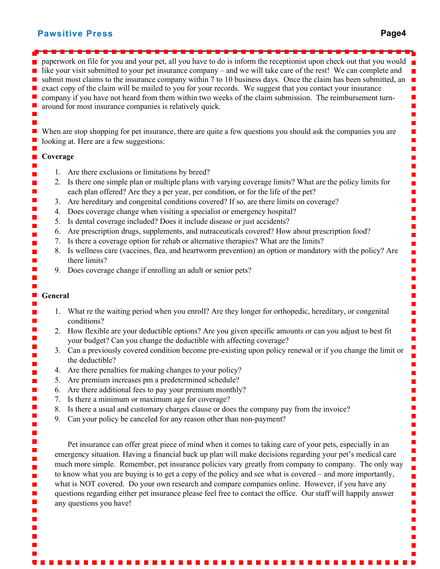#### **Pawsitive Press Page4**

paperwork on file for you and your pet, all you have to do is inform the receptionist upon check out that you would like your visit submitted to your pet insurance company – and we will take care of the rest! We can complete and П submit most claims to the insurance company within 7 to 10 business days. Once the claim has been submitted, an exact copy of the claim will be mailed to you for your records. We suggest that you contact your insurance company if you have not heard from them within two weeks of the claim submission. The reimbursement turnaround for most insurance companies is relatively quick. E When are stop shopping for pet insurance, there are quite a few questions you should ask the companies you are looking at. Here are a few suggestions: **Coverage** 1. Are there exclusions or limitations by breed? 2. Is there one simple plan or multiple plans with varying coverage limits? What are the policy limits for each plan offered? Are they a per year, per condition, or for the life of the pet? 3. Are hereditary and congenital conditions covered? If so, are there limits on coverage? 4. Does coverage change when visiting a specialist or emergency hospital? 5. Is dental coverage included? Does it include disease or just accidents? 6. Are prescription drugs, supplements, and nutraceuticals covered? How about prescription food? 7. Is there a coverage option for rehab or alternative therapies? What are the limits? 8. Is wellness care (vaccines, flea, and heartworm prevention) an option or mandatory with the policy? Are there limits? 9. Does coverage change if enrolling an adult or senior pets? **General** 1. What re the waiting period when you enroll? Are they longer for orthopedic, hereditary, or congenital conditions? 2. How flexible are your deductible options? Are you given specific amounts or can you adjust to best fit your budget? Can you change the deductible with affecting coverage? 3. Can a previously covered condition become pre-existing upon policy renewal or if you change the limit or the deductible? 4. Are there penalties for making changes to your policy? 5. Are premium increases pm a predetermined schedule? 6. Are there additional fees to pay your premium monthly? 7. Is there a minimum or maximum age for coverage? 8. Is there a usual and customary charges clause or does the company pay from the invoice? 9. Can your policy be canceled for any reason other than non-payment? Pet insurance can offer great piece of mind when it comes to taking care of your pets, especially in an emergency situation. Having a financial back up plan will make decisions regarding your pet's medical care much more simple. Remember, pet insurance policies vary greatly from company to company. The only way to know what you are buying is to get a copy of the policy and see what is covered – and more importantly, ٦ what is NOT covered. Do your own research and compare companies online. However, if you have any questions regarding either pet insurance please feel free to contact the office. Our staff will happily answer a, any questions you have!